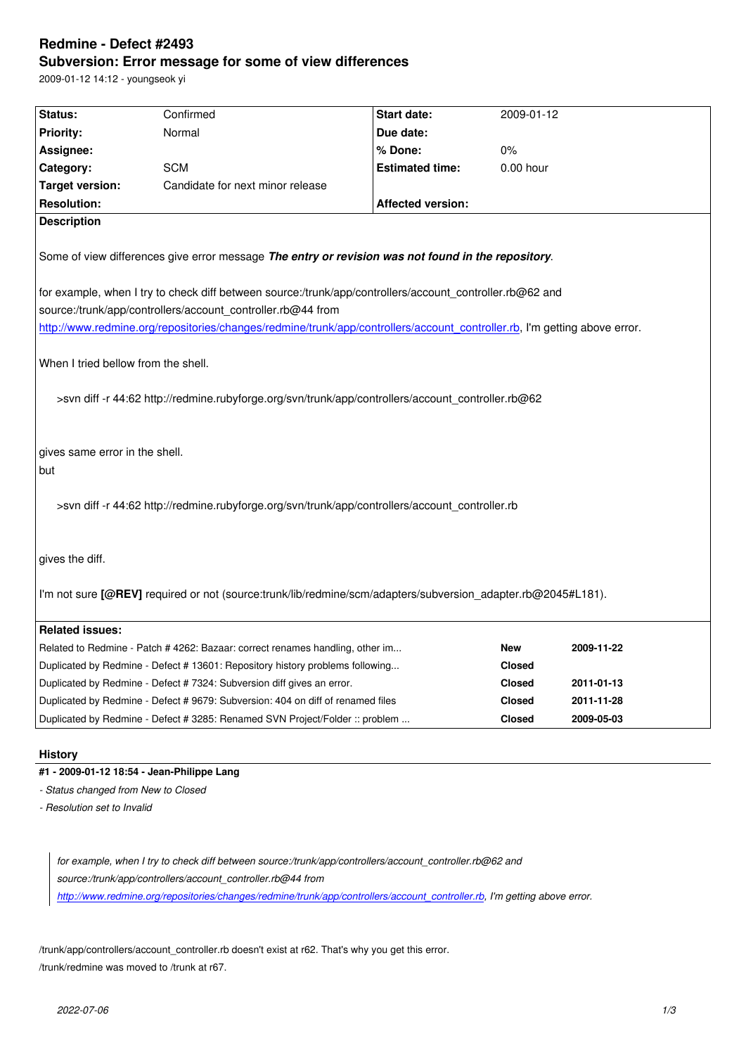#### **Subversion: Error message for some of view differences**

2009-01-12 14:12 - youngseok yi

| Status:                                                                                                                                   | Confirmed                                                                       | Start date:              | 2009-01-12    |            |
|-------------------------------------------------------------------------------------------------------------------------------------------|---------------------------------------------------------------------------------|--------------------------|---------------|------------|
| <b>Priority:</b>                                                                                                                          | Normal                                                                          | Due date:                |               |            |
| Assignee:                                                                                                                                 |                                                                                 | % Done:                  | 0%            |            |
| Category:                                                                                                                                 | <b>SCM</b>                                                                      | <b>Estimated time:</b>   | $0.00$ hour   |            |
| <b>Target version:</b>                                                                                                                    | Candidate for next minor release                                                |                          |               |            |
| <b>Resolution:</b>                                                                                                                        |                                                                                 | <b>Affected version:</b> |               |            |
| <b>Description</b>                                                                                                                        |                                                                                 |                          |               |            |
| Some of view differences give error message The entry or revision was not found in the repository.                                        |                                                                                 |                          |               |            |
| for example, when I try to check diff between source:/trunk/app/controllers/account_controller.rb@62 and                                  |                                                                                 |                          |               |            |
| source:/trunk/app/controllers/account_controller.rb@44 from                                                                               |                                                                                 |                          |               |            |
| http://www.redmine.org/repositories/changes/redmine/trunk/app/controllers/account_controller.rb, I'm getting above error.                 |                                                                                 |                          |               |            |
| When I tried bellow from the shell.<br>>svn diff -r 44:62 http://redmine.rubyforge.org/svn/trunk/app/controllers/account_controller.rb@62 |                                                                                 |                          |               |            |
| gives same error in the shell.<br>but                                                                                                     |                                                                                 |                          |               |            |
| >svn diff -r 44:62 http://redmine.rubyforge.org/svn/trunk/app/controllers/account_controller.rb                                           |                                                                                 |                          |               |            |
| gives the diff.                                                                                                                           |                                                                                 |                          |               |            |
| I'm not sure [@REV] required or not (source:trunk/lib/redmine/scm/adapters/subversion_adapter.rb@2045#L181).                              |                                                                                 |                          |               |            |
| <b>Related issues:</b>                                                                                                                    |                                                                                 |                          |               |            |
|                                                                                                                                           | Related to Redmine - Patch # 4262: Bazaar: correct renames handling, other im   |                          | <b>New</b>    | 2009-11-22 |
|                                                                                                                                           | Duplicated by Redmine - Defect # 13601: Repository history problems following   |                          | <b>Closed</b> |            |
|                                                                                                                                           | Duplicated by Redmine - Defect # 7324: Subversion diff gives an error.          |                          | <b>Closed</b> | 2011-01-13 |
|                                                                                                                                           | Duplicated by Redmine - Defect # 9679: Subversion: 404 on diff of renamed files |                          | <b>Closed</b> | 2011-11-28 |
|                                                                                                                                           | Duplicated by Redmine - Defect # 3285: Renamed SVN Project/Folder :: problem    |                          | <b>Closed</b> | 2009-05-03 |
|                                                                                                                                           |                                                                                 |                          |               |            |

**History**

# **#1 - 2009-01-12 18:54 - Jean-Philippe Lang**

*- Status changed from New to Closed*

*- Resolution set to Invalid*

*for example, when I try to check diff between source:/trunk/app/controllers/account\_controller.rb@62 and source:/trunk/app/controllers/account\_controller.rb@44 from http://www.redmine.org/repositories/changes/redmine/trunk/app/controllers/account\_controller.rb, I'm getting above error.*

/tru[nk/app/controllers/account\\_controller.rb doesn](http://www.redmine.org/repositories/changes/redmine/trunk/app/controllers/account_controller.rb)'[t exist at r62. That](http://www.redmine.org/repositories/changes/redmine/trunk/app/controllers/account_controller.rb)'[s why you get this error.](http://www.redmine.org/repositories/changes/redmine/trunk/app/controllers/account_controller.rb) /trunk/redmine was moved to /trunk at r67.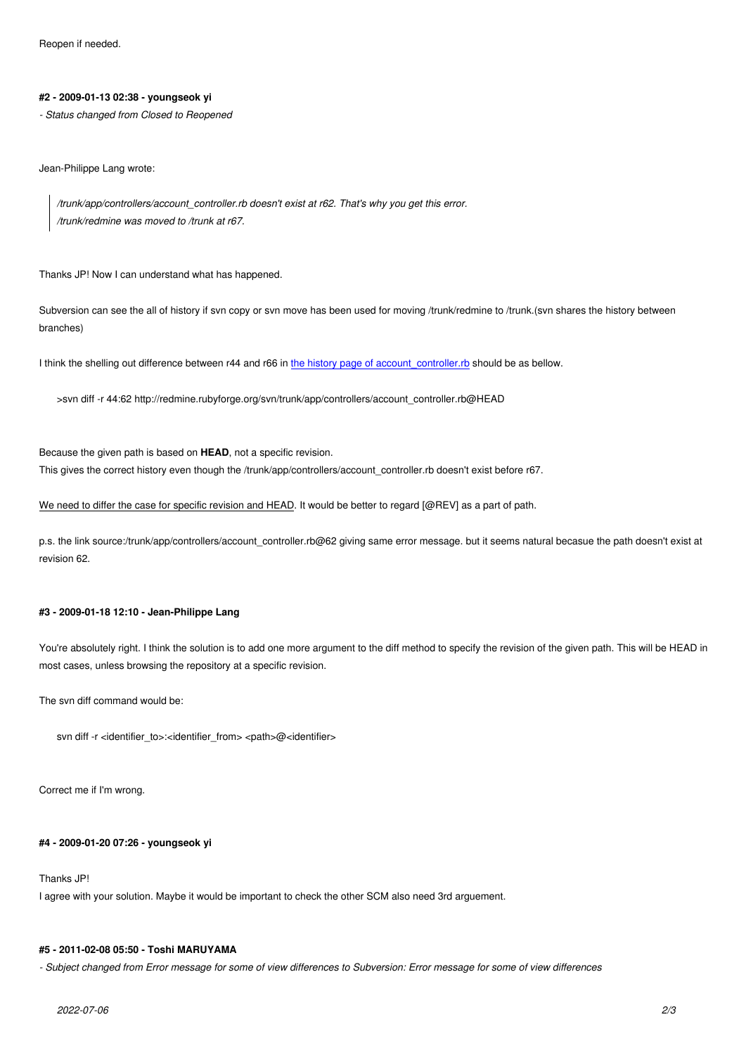### **#2 - 2009-01-13 02:38 - youngseok yi**

*- Status changed from Closed to Reopened*

Jean-Philippe Lang wrote:

*/trunk/app/controllers/account\_controller.rb doesn't exist at r62. That's why you get this error. /trunk/redmine was moved to /trunk at r67.*

Thanks JP! Now I can understand what has happened.

Subversion can see the all of history if svn copy or svn move has been used for moving /trunk/redmine to /trunk.(svn shares the history between branches)

I think the shelling out difference between r44 and r66 in the history page of account controller.rb should be as bellow.

>svn diff -r 44:62 http://redmine.rubyforge.org/svn/trunk/app/controllers/account\_controller.rb@HEAD

Because the given path is based on **HEAD**, not a specific revision. This gives the correct history even though the /trunk/app/controllers/account\_controller.rb doesn't exist before r67.

We need to differ the case for specific revision and HEAD. It would be better to regard [@REV] as a part of path.

p.s. the link source:/trunk/app/controllers/account\_controller.rb@62 giving same error message. but it seems natural becasue the path doesn't exist at revision 62.

#### **#3 - 2009-01-18 12:10 - Jean-Philippe Lang**

You're absolutely right. I think the solution is to add one more argument to the diff method to specify the revision of the given path. This will be HEAD in most cases, unless browsing the repository at a specific revision.

The svn diff command would be:

svn diff -r <identifier\_to>:<identifier\_from> <path>@<identifier>

Correct me if I'm wrong.

#### **#4 - 2009-01-20 07:26 - youngseok yi**

Thanks JP!

I agree with your solution. Maybe it would be important to check the other SCM also need 3rd arguement.

#### **#5 - 2011-02-08 05:50 - Toshi MARUYAMA**

*- Subject changed from Error message for some of view differences to Subversion: Error message for some of view differences*